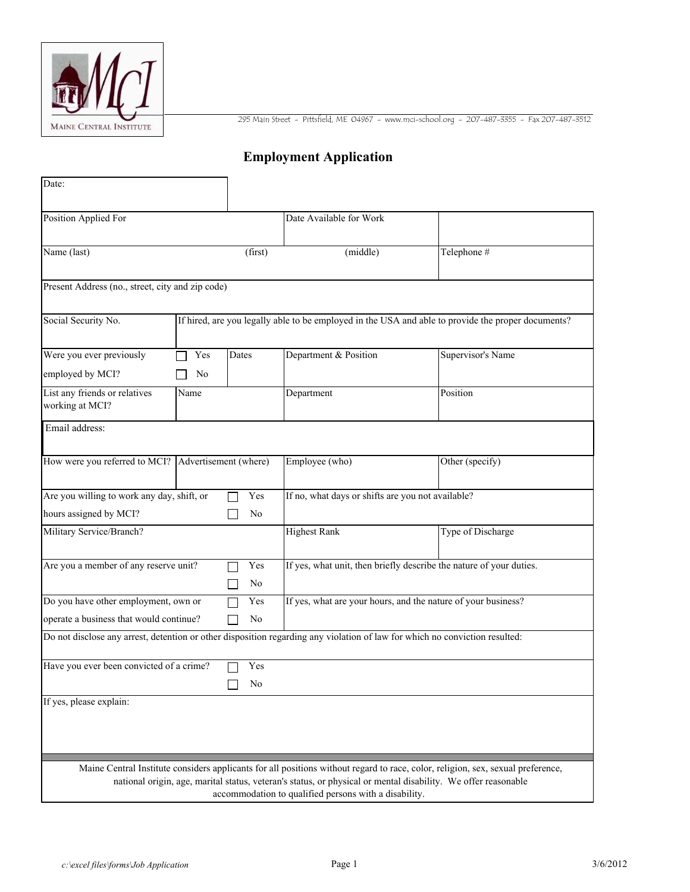

295 Main Street - Pittsfield, ME 04967 - www.mci-school.org - 207-487-3355 - Fax 207-487-3512

## **Employment Application**

| Position Applied For                                                                                     |            |           | Date Available for Work                                                                                                     |                                                                                                                                 |  |
|----------------------------------------------------------------------------------------------------------|------------|-----------|-----------------------------------------------------------------------------------------------------------------------------|---------------------------------------------------------------------------------------------------------------------------------|--|
| Name (last)                                                                                              |            | (first)   | (middle)                                                                                                                    | Telephone #                                                                                                                     |  |
| Present Address (no., street, city and zip code)                                                         |            |           |                                                                                                                             |                                                                                                                                 |  |
| Social Security No.                                                                                      |            |           |                                                                                                                             | If hired, are you legally able to be employed in the USA and able to provide the proper documents?                              |  |
| Were you ever previously                                                                                 | Yes        | Dates     | Department & Position                                                                                                       | Supervisor's Name                                                                                                               |  |
| employed by MCI?<br>List any friends or relatives                                                        | No<br>Name |           | Department                                                                                                                  | Position                                                                                                                        |  |
| working at MCI?                                                                                          |            |           |                                                                                                                             |                                                                                                                                 |  |
| Email address:                                                                                           |            |           |                                                                                                                             |                                                                                                                                 |  |
| How were you referred to MCI? Advertisement (where)                                                      |            |           | Employee (who)                                                                                                              | Other (specify)                                                                                                                 |  |
| Are you willing to work any day, shift, or<br>Yes<br>hours assigned by MCI?<br>No                        |            |           | If no, what days or shifts are you not available?                                                                           |                                                                                                                                 |  |
| Military Service/Branch?                                                                                 |            |           | <b>Highest Rank</b>                                                                                                         | Type of Discharge                                                                                                               |  |
| Are you a member of any reserve unit?                                                                    |            | Yes<br>No | If yes, what unit, then briefly describe the nature of your duties.                                                         |                                                                                                                                 |  |
| Do you have other employment, own or<br>Yes<br>operate a business that would continue?<br>N <sub>0</sub> |            |           | If yes, what are your hours, and the nature of your business?                                                               |                                                                                                                                 |  |
|                                                                                                          |            |           | Do not disclose any arrest, detention or other disposition regarding any violation of law for which no conviction resulted: |                                                                                                                                 |  |
| Have you ever been convicted of a crime?                                                                 |            | Yes<br>No |                                                                                                                             |                                                                                                                                 |  |
| If yes, please explain:                                                                                  |            | $\Box$    |                                                                                                                             |                                                                                                                                 |  |
|                                                                                                          |            |           |                                                                                                                             |                                                                                                                                 |  |
|                                                                                                          |            |           |                                                                                                                             |                                                                                                                                 |  |
|                                                                                                          |            |           | national origin, age, marital status, veteran's status, or physical or mental disability. We offer reasonable               | Maine Central Institute considers applicants for all positions without regard to race, color, religion, sex, sexual preference, |  |
|                                                                                                          |            |           | accommodation to qualified persons with a disability.                                                                       |                                                                                                                                 |  |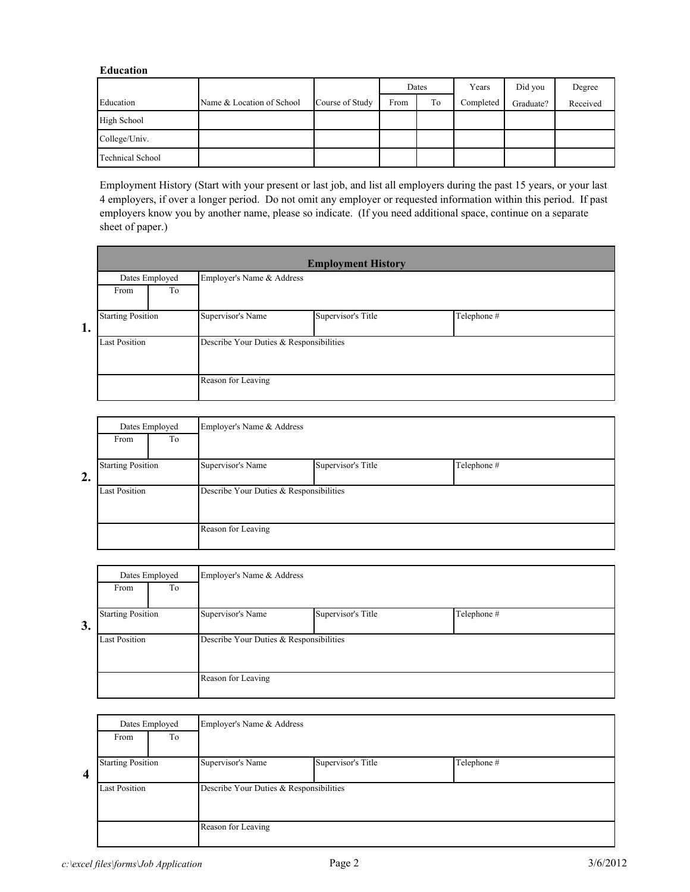## **Education**

|                         |                           |                 | Dates |    | Years     | Did you   | Degree   |
|-------------------------|---------------------------|-----------------|-------|----|-----------|-----------|----------|
| Education               | Name & Location of School | Course of Study | From  | To | Completed | Graduate? | Received |
| High School             |                           |                 |       |    |           |           |          |
| College/Univ.           |                           |                 |       |    |           |           |          |
| <b>Technical School</b> |                           |                 |       |    |           |           |          |

Employment History (Start with your present or last job, and list all employers during the past 15 years, or your last 4 employers, if over a longer period. Do not omit any employer or requested information within this period. If past employers know you by another name, please so indicate. (If you need additional space, continue on a separate sheet of paper.)

|                                | <b>Employment History</b>               |  |  |  |  |  |
|--------------------------------|-----------------------------------------|--|--|--|--|--|
|                                | Employer's Name & Address               |  |  |  |  |  |
|                                |                                         |  |  |  |  |  |
|                                |                                         |  |  |  |  |  |
|                                |                                         |  |  |  |  |  |
| <b>Last Position</b>           | Describe Your Duties & Responsibilities |  |  |  |  |  |
|                                |                                         |  |  |  |  |  |
|                                |                                         |  |  |  |  |  |
| <b>Starting Position</b><br>1. | Telephone #                             |  |  |  |  |  |

|    | Dates Employed<br>From<br>To |  | Employer's Name & Address               |                    |             |  |
|----|------------------------------|--|-----------------------------------------|--------------------|-------------|--|
| 2. | <b>Starting Position</b>     |  | Supervisor's Name                       | Supervisor's Title | Telephone # |  |
|    | <b>Last Position</b>         |  | Describe Your Duties & Responsibilities |                    |             |  |
|    |                              |  | Reason for Leaving                      |                    |             |  |

|    | Dates Employed<br>To<br>From |  | Employer's Name & Address               |                    |             |  |  |
|----|------------------------------|--|-----------------------------------------|--------------------|-------------|--|--|
| 3. | <b>Starting Position</b>     |  | Supervisor's Name                       | Supervisor's Title | Telephone # |  |  |
|    | <b>Last Position</b>         |  | Describe Your Duties & Responsibilities |                    |             |  |  |
|    |                              |  | Reason for Leaving                      |                    |             |  |  |

|   | Dates Employed<br>To<br>From |  | Employer's Name & Address               |                    |             |  |
|---|------------------------------|--|-----------------------------------------|--------------------|-------------|--|
| 4 | <b>Starting Position</b>     |  | Supervisor's Name                       | Supervisor's Title | Telephone # |  |
|   | <b>Last Position</b>         |  | Describe Your Duties & Responsibilities |                    |             |  |
|   |                              |  | Reason for Leaving                      |                    |             |  |